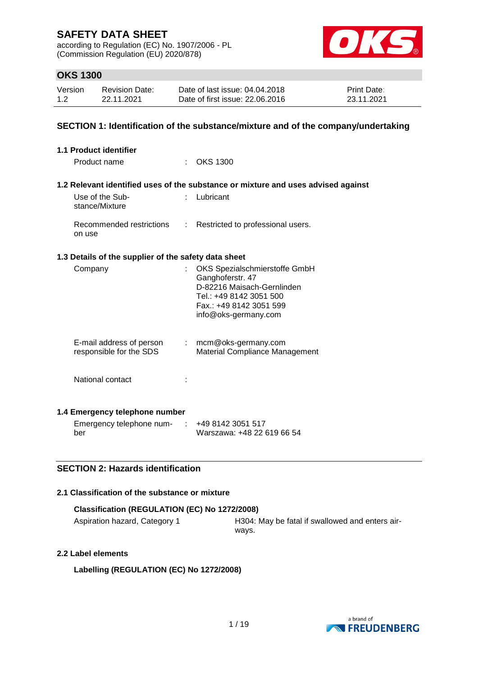according to Regulation (EC) No. 1907/2006 - PL (Commission Regulation (EU) 2020/878)



# **OKS 1300**

| Version | <b>Revision Date:</b> | Date of last issue: 04.04.2018  | <b>Print Date:</b> |
|---------|-----------------------|---------------------------------|--------------------|
| 1.2     | 22.11.2021            | Date of first issue: 22,06,2016 | 23.11.2021         |

#### **SECTION 1: Identification of the substance/mixture and of the company/undertaking**

| <b>1.1 Product identifier</b>                             |                                                                                                                                                               |  |  |  |  |
|-----------------------------------------------------------|---------------------------------------------------------------------------------------------------------------------------------------------------------------|--|--|--|--|
| Product name                                              | $:$ OKS 1300                                                                                                                                                  |  |  |  |  |
|                                                           | 1.2 Relevant identified uses of the substance or mixture and uses advised against                                                                             |  |  |  |  |
| Use of the Sub-<br>$\sim$<br>stance/Mixture               | Lubricant                                                                                                                                                     |  |  |  |  |
| Recommended restrictions<br>on use                        | : Restricted to professional users.                                                                                                                           |  |  |  |  |
| 1.3 Details of the supplier of the safety data sheet      |                                                                                                                                                               |  |  |  |  |
| Company                                                   | OKS Spezialschmierstoffe GmbH<br>Ganghoferstr. 47<br>D-82216 Maisach-Gernlinden<br>Tel.: +49 8142 3051 500<br>Fax.: +49 8142 3051 599<br>info@oks-germany.com |  |  |  |  |
| E-mail address of person<br>÷.<br>responsible for the SDS | mcm@oks-germany.com<br>Material Compliance Management                                                                                                         |  |  |  |  |
| National contact                                          |                                                                                                                                                               |  |  |  |  |
| 1.4 Emergency telephone number                            |                                                                                                                                                               |  |  |  |  |
| Emergency telephone num-                                  | +49 8142 3051 517                                                                                                                                             |  |  |  |  |

## **SECTION 2: Hazards identification**

#### **2.1 Classification of the substance or mixture**

#### **Classification (REGULATION (EC) No 1272/2008)**

Aspiration hazard, Category 1 **H304: May be fatal if swallowed and enters air**ways.

#### **2.2 Label elements**

ber

**Labelling (REGULATION (EC) No 1272/2008)**



Warszawa: +48 22 619 66 54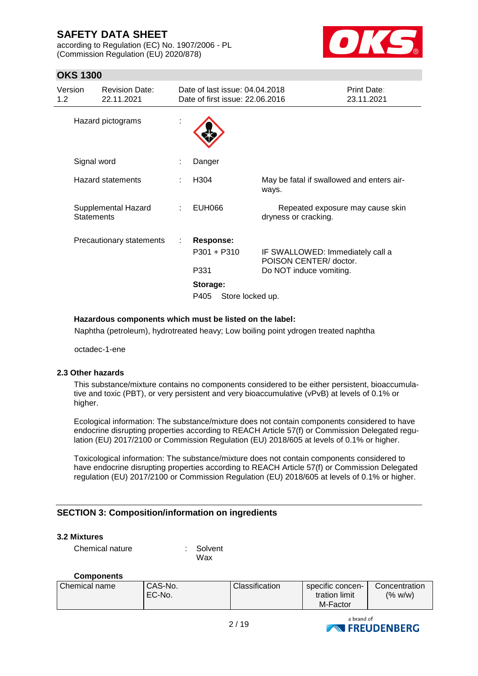according to Regulation (EC) No. 1907/2006 - PL (Commission Regulation (EU) 2020/878)



# **OKS 1300**

| Version<br>1.2 | <b>Revision Date:</b><br>22.11.2021      |   | Date of last issue: 04.04.2018<br>Date of first issue: 22.06.2016                 |                                                                                       | Print Date:<br>23.11.2021 |
|----------------|------------------------------------------|---|-----------------------------------------------------------------------------------|---------------------------------------------------------------------------------------|---------------------------|
|                | Hazard pictograms                        | t |                                                                                   |                                                                                       |                           |
|                | Signal word                              |   | Danger                                                                            |                                                                                       |                           |
|                | <b>Hazard statements</b>                 |   | H304                                                                              | May be fatal if swallowed and enters air-<br>ways.                                    |                           |
|                | Supplemental Hazard<br><b>Statements</b> |   | <b>EUH066</b>                                                                     | Repeated exposure may cause skin<br>dryness or cracking.                              |                           |
|                | Precautionary statements                 |   | <b>Response:</b><br>$P301 + P310$<br>P331<br>Storage:<br>Store locked up.<br>P405 | IF SWALLOWED: Immediately call a<br>POISON CENTER/ doctor.<br>Do NOT induce vomiting. |                           |

#### **Hazardous components which must be listed on the label:**

Naphtha (petroleum), hydrotreated heavy; Low boiling point ydrogen treated naphtha

octadec-1-ene

#### **2.3 Other hazards**

This substance/mixture contains no components considered to be either persistent, bioaccumulative and toxic (PBT), or very persistent and very bioaccumulative (vPvB) at levels of 0.1% or higher.

Ecological information: The substance/mixture does not contain components considered to have endocrine disrupting properties according to REACH Article 57(f) or Commission Delegated regulation (EU) 2017/2100 or Commission Regulation (EU) 2018/605 at levels of 0.1% or higher.

Toxicological information: The substance/mixture does not contain components considered to have endocrine disrupting properties according to REACH Article 57(f) or Commission Delegated regulation (EU) 2017/2100 or Commission Regulation (EU) 2018/605 at levels of 0.1% or higher.

## **SECTION 3: Composition/information on ingredients**

#### **3.2 Mixtures**

Chemical nature : Solvent

Wax

#### **Components**

| Chemical name | CAS-No. | Classification | specific concen- | Concentration |
|---------------|---------|----------------|------------------|---------------|
|               | EC-No.  |                | tration limit    | (% w/w)       |
|               |         |                | M-Factor         |               |

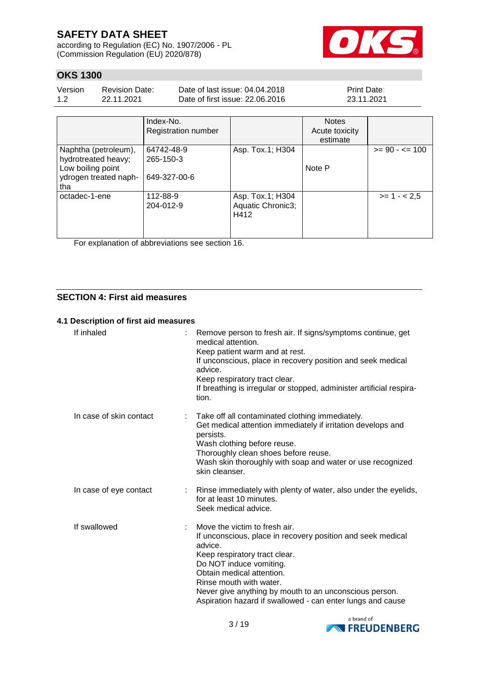according to Regulation (EC) No. 1907/2006 - PL (Commission Regulation (EU) 2020/878)



# **OKS 1300**

| Version | <b>Revision Date:</b> | Date of last issue: 04.04.2018  | <b>Print Date:</b> |
|---------|-----------------------|---------------------------------|--------------------|
| 1.2     | 22.11.2021            | Date of first issue: 22,06,2016 | 23.11.2021         |

|                                                   | Index-No.                  |                                               | <b>Notes</b>               |                   |
|---------------------------------------------------|----------------------------|-----------------------------------------------|----------------------------|-------------------|
|                                                   | <b>Registration number</b> |                                               | Acute toxicity<br>estimate |                   |
| Naphtha (petroleum),<br>hydrotreated heavy;       | 64742-48-9<br>265-150-3    | Asp. Tox.1; H304                              |                            | $>= 90 - 5 = 100$ |
| Low boiling point<br>ydrogen treated naph-<br>tha | 649-327-00-6               |                                               | Note P                     |                   |
| octadec-1-ene                                     | 112-88-9<br>204-012-9      | Asp. Tox.1; H304<br>Aquatic Chronic3;<br>H412 |                            | $>= 1 - 2.5$      |

For explanation of abbreviations see section 16.

# **SECTION 4: First aid measures**

#### **4.1 Description of first aid measures**

| If inhaled              | Remove person to fresh air. If signs/symptoms continue, get<br>medical attention.<br>Keep patient warm and at rest.<br>If unconscious, place in recovery position and seek medical<br>advice.<br>Keep respiratory tract clear.<br>If breathing is irregular or stopped, administer artificial respira-<br>tion.                                     |
|-------------------------|-----------------------------------------------------------------------------------------------------------------------------------------------------------------------------------------------------------------------------------------------------------------------------------------------------------------------------------------------------|
| In case of skin contact | Take off all contaminated clothing immediately.<br>Get medical attention immediately if irritation develops and<br>persists.<br>Wash clothing before reuse.<br>Thoroughly clean shoes before reuse.<br>Wash skin thoroughly with soap and water or use recognized<br>skin cleanser.                                                                 |
| In case of eye contact  | Rinse immediately with plenty of water, also under the eyelids,<br>for at least 10 minutes.<br>Seek medical advice.                                                                                                                                                                                                                                 |
| If swallowed            | Move the victim to fresh air.<br>If unconscious, place in recovery position and seek medical<br>advice.<br>Keep respiratory tract clear.<br>Do NOT induce vomiting.<br>Obtain medical attention.<br>Rinse mouth with water.<br>Never give anything by mouth to an unconscious person.<br>Aspiration hazard if swallowed - can enter lungs and cause |

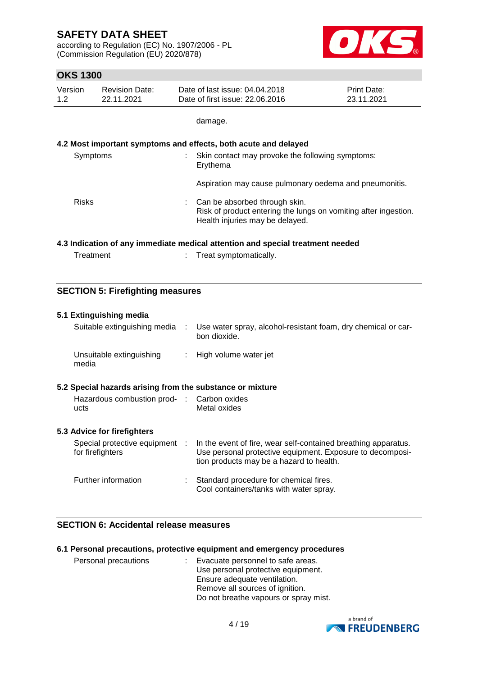according to Regulation (EC) No. 1907/2006 - PL (Commission Regulation (EU) 2020/878)



# **OKS 1300**

| Version | <b>Revision Date:</b> | Date of last issue: 04.04.2018  | <b>Print Date:</b> |
|---------|-----------------------|---------------------------------|--------------------|
| 1.2     | 22.11.2021            | Date of first issue: 22,06,2016 | 23.11.2021         |

damage.

#### **4.2 Most important symptoms and effects, both acute and delayed**

| Symptoms     | Skin contact may provoke the following symptoms:<br>Erythema                                                                        |
|--------------|-------------------------------------------------------------------------------------------------------------------------------------|
|              | Aspiration may cause pulmonary oedema and pneumonitis.                                                                              |
| <b>Risks</b> | Can be absorbed through skin.<br>Risk of product entering the lungs on vomiting after ingestion.<br>Health injuries may be delayed. |

#### **4.3 Indication of any immediate medical attention and special treatment needed**

: Treat symptomatically.

#### **SECTION 5: Firefighting measures**

| 5.1 Extinguishing media<br>Suitable extinguishing media   | ÷ | Use water spray, alcohol-resistant foam, dry chemical or car-<br>bon dioxide.                                                                                           |  |  |  |
|-----------------------------------------------------------|---|-------------------------------------------------------------------------------------------------------------------------------------------------------------------------|--|--|--|
| Unsuitable extinguishing<br>media                         |   | : High volume water jet                                                                                                                                                 |  |  |  |
| 5.2 Special hazards arising from the substance or mixture |   |                                                                                                                                                                         |  |  |  |
| Hazardous combustion prod- : Carbon oxides<br>ucts        |   | Metal oxides                                                                                                                                                            |  |  |  |
| 5.3 Advice for firefighters                               |   |                                                                                                                                                                         |  |  |  |
| Special protective equipment :<br>for firefighters        |   | In the event of fire, wear self-contained breathing apparatus.<br>Use personal protective equipment. Exposure to decomposi-<br>tion products may be a hazard to health. |  |  |  |
| Further information                                       |   | Standard procedure for chemical fires.<br>Cool containers/tanks with water spray.                                                                                       |  |  |  |

## **SECTION 6: Accidental release measures**

|                      | 6.1 Personal precautions, protective equipment and emergency procedures   |
|----------------------|---------------------------------------------------------------------------|
| Personal precautions | : Evacuate personnel to safe areas.<br>Use personal protective equipment. |
|                      | Ensure adequate ventilation.                                              |
|                      | Remove all sources of ignition.                                           |
|                      | Do not breathe vapours or spray mist.                                     |

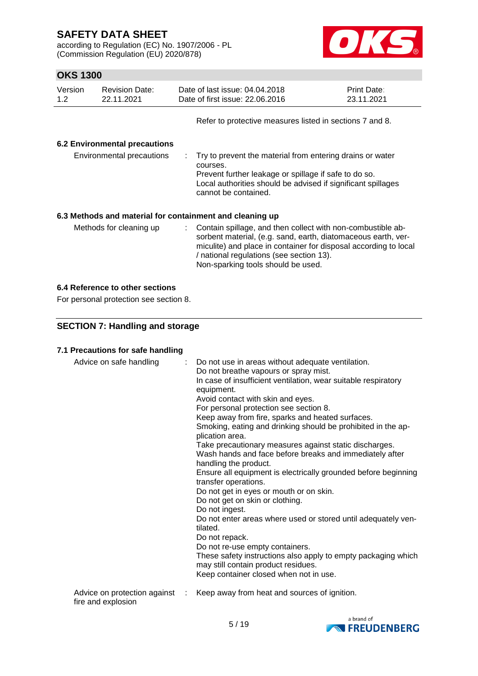according to Regulation (EC) No. 1907/2006 - PL (Commission Regulation (EU) 2020/878)



# **OKS 1300**

| Version<br>1.2                | <b>Revision Date:</b><br>22.11.2021 | Date of last issue: 04.04.2018<br>Date of first issue: 22.06.2016 | <b>Print Date:</b><br>23.11.2021 |  |  |
|-------------------------------|-------------------------------------|-------------------------------------------------------------------|----------------------------------|--|--|
|                               |                                     | Refer to protective measures listed in sections 7 and 8.          |                                  |  |  |
| 6.2 Environmental precautions |                                     |                                                                   |                                  |  |  |

| Environmental precautions | : Try to prevent the material from entering drains or water<br>courses.<br>Prevent further leakage or spillage if safe to do so.<br>Local authorities should be advised if significant spillages<br>cannot be contained. |
|---------------------------|--------------------------------------------------------------------------------------------------------------------------------------------------------------------------------------------------------------------------|
|                           |                                                                                                                                                                                                                          |

# **6.3 Methods and material for containment and cleaning up**

| Methods for cleaning up | : Contain spillage, and then collect with non-combustible ab-<br>sorbent material, (e.g. sand, earth, diatomaceous earth, ver-<br>miculite) and place in container for disposal according to local<br>/ national regulations (see section 13).<br>Non-sparking tools should be used. |
|-------------------------|--------------------------------------------------------------------------------------------------------------------------------------------------------------------------------------------------------------------------------------------------------------------------------------|
|-------------------------|--------------------------------------------------------------------------------------------------------------------------------------------------------------------------------------------------------------------------------------------------------------------------------------|

#### **6.4 Reference to other sections**

For personal protection see section 8.

# **SECTION 7: Handling and storage**

## **7.1 Precautions for safe handling**

| Advice on safe handling      | : Do not use in areas without adequate ventilation.<br>Do not breathe vapours or spray mist.<br>In case of insufficient ventilation, wear suitable respiratory<br>equipment.<br>Avoid contact with skin and eyes.<br>For personal protection see section 8.<br>Keep away from fire, sparks and heated surfaces.<br>Smoking, eating and drinking should be prohibited in the ap-<br>plication area.<br>Take precautionary measures against static discharges.<br>Wash hands and face before breaks and immediately after<br>handling the product.<br>Ensure all equipment is electrically grounded before beginning<br>transfer operations.<br>Do not get in eyes or mouth or on skin.<br>Do not get on skin or clothing.<br>Do not ingest.<br>Do not enter areas where used or stored until adequately ven-<br>tilated.<br>Do not repack.<br>Do not re-use empty containers.<br>These safety instructions also apply to empty packaging which<br>may still contain product residues.<br>Keep container closed when not in use. |
|------------------------------|--------------------------------------------------------------------------------------------------------------------------------------------------------------------------------------------------------------------------------------------------------------------------------------------------------------------------------------------------------------------------------------------------------------------------------------------------------------------------------------------------------------------------------------------------------------------------------------------------------------------------------------------------------------------------------------------------------------------------------------------------------------------------------------------------------------------------------------------------------------------------------------------------------------------------------------------------------------------------------------------------------------------------------|
| Advice on protection against | Keep away from heat and sources of ignition.                                                                                                                                                                                                                                                                                                                                                                                                                                                                                                                                                                                                                                                                                                                                                                                                                                                                                                                                                                                   |

fire and explosion

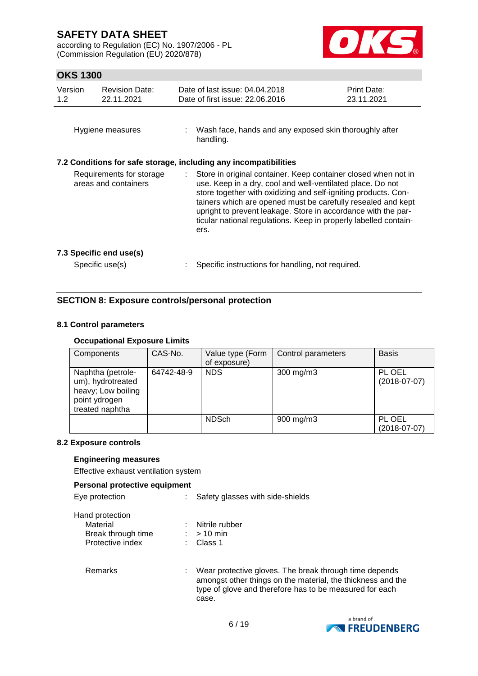according to Regulation (EC) No. 1907/2006 - PL (Commission Regulation (EU) 2020/878)



# **OKS 1300**

| Version<br>1.2                                   | <b>Revision Date:</b><br>22.11.2021        | Date of last issue: 04.04.2018<br>Date of first issue: 22.06.2016                                                                                                                                                                                                                                                                                                                                             | <b>Print Date:</b><br>23.11.2021 |
|--------------------------------------------------|--------------------------------------------|---------------------------------------------------------------------------------------------------------------------------------------------------------------------------------------------------------------------------------------------------------------------------------------------------------------------------------------------------------------------------------------------------------------|----------------------------------|
|                                                  | Hygiene measures                           | : Wash face, hands and any exposed skin thoroughly after<br>handling.                                                                                                                                                                                                                                                                                                                                         |                                  |
|                                                  |                                            | 7.2 Conditions for safe storage, including any incompatibilities                                                                                                                                                                                                                                                                                                                                              |                                  |
| Requirements for storage<br>areas and containers |                                            | : Store in original container. Keep container closed when not in<br>use. Keep in a dry, cool and well-ventilated place. Do not<br>store together with oxidizing and self-igniting products. Con-<br>tainers which are opened must be carefully resealed and kept<br>upright to prevent leakage. Store in accordance with the par-<br>ticular national regulations. Keep in properly labelled contain-<br>ers. |                                  |
|                                                  | 7.3 Specific end use(s)<br>Specific use(s) | Specific instructions for handling, not required.                                                                                                                                                                                                                                                                                                                                                             |                                  |

# **SECTION 8: Exposure controls/personal protection**

#### **8.1 Control parameters**

#### **Occupational Exposure Limits**

| Components                                                                                       | CAS-No.    | Value type (Form<br>of exposure) | Control parameters | <b>Basis</b>             |
|--------------------------------------------------------------------------------------------------|------------|----------------------------------|--------------------|--------------------------|
| Naphtha (petrole-<br>um), hydrotreated<br>heavy; Low boiling<br>point ydrogen<br>treated naphtha | 64742-48-9 | <b>NDS</b>                       | 300 mg/m3          | PL OEL<br>$(2018-07-07)$ |
|                                                                                                  |            | <b>NDSch</b>                     | $900$ mg/m $3$     | PL OEL<br>$(2018-07-07)$ |

#### **8.2 Exposure controls**

#### **Engineering measures**

Effective exhaust ventilation system

#### **Personal protective equipment**

| Eye protection     | Safety glasses with side-shields |
|--------------------|----------------------------------|
| Hand protection    |                                  |
| Material           | : Nitrile rubber                 |
| Break through time | $:$ > 10 min                     |
| Protective index   | Class 1                          |

Remarks : Wear protective gloves. The break through time depends amongst other things on the material, the thickness and the type of glove and therefore has to be measured for each case.

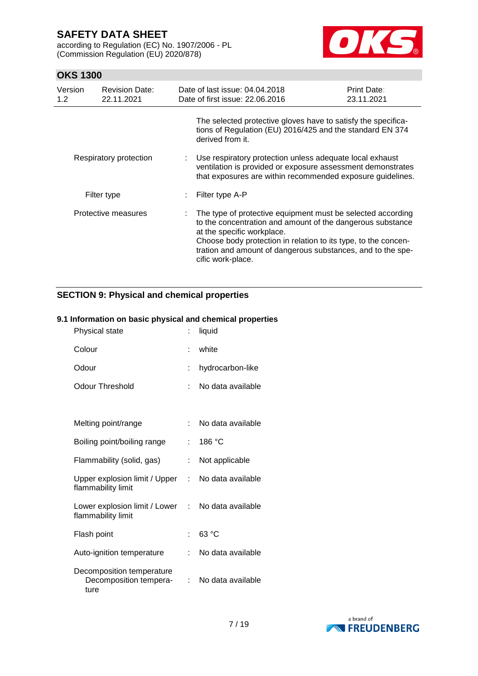according to Regulation (EC) No. 1907/2006 - PL (Commission Regulation (EU) 2020/878)



# **OKS 1300**

| Version<br>1.2 <sub>2</sub> | <b>Revision Date:</b><br>22.11.2021 | Date of last issue: 04.04.2018<br>Date of first issue: 22.06.2016                                                                                                                                                                                                                                             | Print Date:<br>23.11.2021 |
|-----------------------------|-------------------------------------|---------------------------------------------------------------------------------------------------------------------------------------------------------------------------------------------------------------------------------------------------------------------------------------------------------------|---------------------------|
|                             |                                     | The selected protective gloves have to satisfy the specifica-<br>tions of Regulation (EU) 2016/425 and the standard EN 374<br>derived from it.                                                                                                                                                                |                           |
| Respiratory protection      |                                     | Use respiratory protection unless adequate local exhaust<br>ventilation is provided or exposure assessment demonstrates<br>that exposures are within recommended exposure guidelines.                                                                                                                         |                           |
|                             | Filter type                         | Filter type A-P                                                                                                                                                                                                                                                                                               |                           |
| Protective measures         |                                     | The type of protective equipment must be selected according<br>to the concentration and amount of the dangerous substance<br>at the specific workplace.<br>Choose body protection in relation to its type, to the concen-<br>tration and amount of dangerous substances, and to the spe-<br>cific work-place. |                           |

# **SECTION 9: Physical and chemical properties**

#### **9.1 Information on basic physical and chemical properties**

| Physical state                                              |                           | liquid            |
|-------------------------------------------------------------|---------------------------|-------------------|
| Colour                                                      | t                         | white             |
| Odour                                                       | t.                        | hydrocarbon-like  |
| Odour Threshold                                             | t                         | No data available |
|                                                             |                           |                   |
| Melting point/range                                         | ÷                         | No data available |
| Boiling point/boiling range                                 | t.                        | 186 °C            |
| Flammability (solid, gas)                                   | t.                        | Not applicable    |
| Upper explosion limit / Upper<br>flammability limit         | t.                        | No data available |
| Lower explosion limit / Lower<br>flammability limit         | $\mathbb{R}^{\mathbb{Z}}$ | No data available |
| Flash point                                                 | t.                        | 63 °C             |
| Auto-ignition temperature                                   |                           | No data available |
| Decomposition temperature<br>Decomposition tempera-<br>ture |                           | No data available |

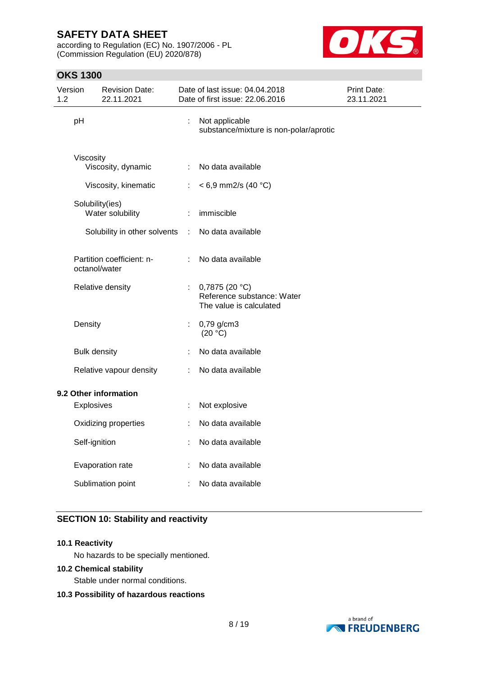according to Regulation (EC) No. 1907/2006 - PL (Commission Regulation (EU) 2020/878)



# **OKS 1300**

| Version<br>1.2 |                     | <b>Revision Date:</b><br>22.11.2021 |           | Date of last issue: 04.04.2018<br>Date of first issue: 22.06.2016         | Print Date:<br>23.11.2021 |
|----------------|---------------------|-------------------------------------|-----------|---------------------------------------------------------------------------|---------------------------|
|                | pH                  |                                     | ÷,        | Not applicable<br>substance/mixture is non-polar/aprotic                  |                           |
|                | Viscosity           |                                     |           |                                                                           |                           |
|                |                     | Viscosity, dynamic                  | ÷         | No data available                                                         |                           |
|                |                     | Viscosity, kinematic                | ÷.        | $< 6.9$ mm2/s (40 °C)                                                     |                           |
|                | Solubility(ies)     |                                     |           |                                                                           |                           |
|                |                     | Water solubility                    | ÷         | immiscible                                                                |                           |
|                |                     | Solubility in other solvents        | $\cdot$ : | No data available                                                         |                           |
|                | octanol/water       | Partition coefficient: n-           |           | No data available                                                         |                           |
|                |                     | Relative density                    | ÷.        | 0,7875 $(20 °C)$<br>Reference substance: Water<br>The value is calculated |                           |
|                | Density             |                                     | ÷         | 0,79 g/cm3<br>(20 °C)                                                     |                           |
|                | <b>Bulk density</b> |                                     | ÷         | No data available                                                         |                           |
|                |                     | Relative vapour density             | ÷         | No data available                                                         |                           |
|                |                     | 9.2 Other information               |           |                                                                           |                           |
|                | Explosives          |                                     | ÷         | Not explosive                                                             |                           |
|                |                     | Oxidizing properties                |           | No data available                                                         |                           |
|                | Self-ignition       |                                     |           | No data available                                                         |                           |
|                |                     | Evaporation rate                    | ÷         | No data available                                                         |                           |
|                |                     | Sublimation point                   | ÷         | No data available                                                         |                           |

# **SECTION 10: Stability and reactivity**

#### **10.1 Reactivity**

No hazards to be specially mentioned.

#### **10.2 Chemical stability**

Stable under normal conditions.

#### **10.3 Possibility of hazardous reactions**

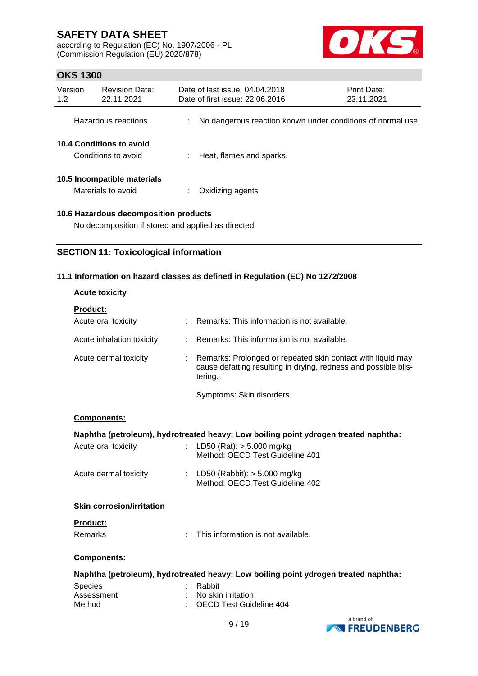according to Regulation (EC) No. 1907/2006 - PL (Commission Regulation (EU) 2020/878)



# **OKS 1300**

| Version<br>1.2                                  | <b>Revision Date:</b><br>22.11.2021               | Date of last issue: 04.04.2018<br>Date of first issue: 22.06.2016 | <b>Print Date:</b><br>23.11.2021 |
|-------------------------------------------------|---------------------------------------------------|-------------------------------------------------------------------|----------------------------------|
|                                                 | Hazardous reactions                               | No dangerous reaction known under conditions of normal use.       |                                  |
| 10.4 Conditions to avoid<br>Conditions to avoid |                                                   | Heat, flames and sparks.                                          |                                  |
|                                                 | 10.5 Incompatible materials<br>Materials to avoid | Oxidizing agents                                                  |                                  |

#### **10.6 Hazardous decomposition products**

No decomposition if stored and applied as directed.

## **SECTION 11: Toxicological information**

#### **11.1 Information on hazard classes as defined in Regulation (EC) No 1272/2008**

| <b>Acute toxicity</b>            |                                                                                                                                           |  |  |  |  |
|----------------------------------|-------------------------------------------------------------------------------------------------------------------------------------------|--|--|--|--|
| <b>Product:</b>                  |                                                                                                                                           |  |  |  |  |
| Acute oral toxicity              | Remarks: This information is not available.                                                                                               |  |  |  |  |
| Acute inhalation toxicity<br>÷.  | Remarks: This information is not available.                                                                                               |  |  |  |  |
| Acute dermal toxicity            | Remarks: Prolonged or repeated skin contact with liquid may<br>cause defatting resulting in drying, redness and possible blis-<br>tering. |  |  |  |  |
|                                  | Symptoms: Skin disorders                                                                                                                  |  |  |  |  |
| Components:                      |                                                                                                                                           |  |  |  |  |
|                                  | Naphtha (petroleum), hydrotreated heavy; Low boiling point ydrogen treated naphtha:                                                       |  |  |  |  |
| Acute oral toxicity              | LD50 (Rat): $> 5.000$ mg/kg<br>Method: OECD Test Guideline 401                                                                            |  |  |  |  |
| Acute dermal toxicity            | : LD50 (Rabbit): $> 5.000$ mg/kg<br>Method: OECD Test Guideline 402                                                                       |  |  |  |  |
| <b>Skin corrosion/irritation</b> |                                                                                                                                           |  |  |  |  |
| <b>Product:</b>                  |                                                                                                                                           |  |  |  |  |
| Remarks<br>$\epsilon$            | This information is not available.                                                                                                        |  |  |  |  |
| Components:                      |                                                                                                                                           |  |  |  |  |
|                                  | Naphtha (petroleum), hydrotreated heavy; Low boiling point ydrogen treated naphtha:                                                       |  |  |  |  |
| <b>Species</b>                   | Rabbit                                                                                                                                    |  |  |  |  |
| Assessment                       | No skin irritation                                                                                                                        |  |  |  |  |
| Method                           | <b>OECD Test Guideline 404</b>                                                                                                            |  |  |  |  |

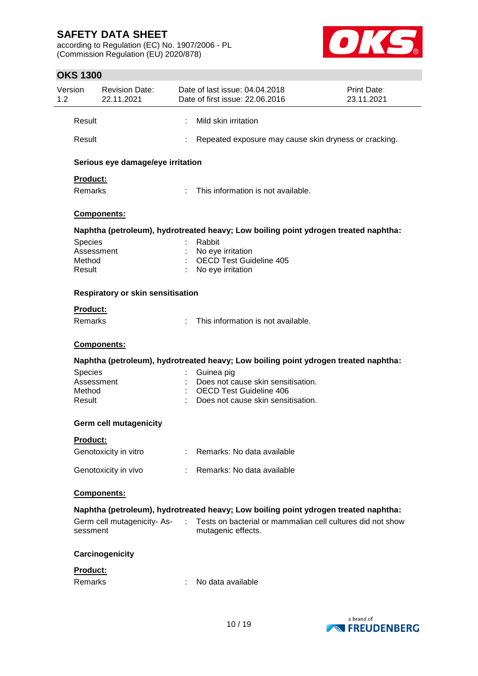according to Regulation (EC) No. 1907/2006 - PL (Commission Regulation (EU) 2020/878)



# **OKS 1300**

| Version<br>1.2 |                                                  | <b>Revision Date:</b><br>22.11.2021      |                            | Date of last issue: 04.04.2018<br>Date of first issue: 22.06.2016                                                        | Print Date:<br>23.11.2021 |
|----------------|--------------------------------------------------|------------------------------------------|----------------------------|--------------------------------------------------------------------------------------------------------------------------|---------------------------|
|                | Result                                           |                                          |                            | Mild skin irritation                                                                                                     |                           |
|                | Result                                           |                                          |                            | Repeated exposure may cause skin dryness or cracking.                                                                    |                           |
|                |                                                  | Serious eye damage/eye irritation        |                            |                                                                                                                          |                           |
|                | Product:<br>Remarks                              |                                          |                            | This information is not available.                                                                                       |                           |
|                |                                                  | Components:                              |                            |                                                                                                                          |                           |
|                |                                                  |                                          |                            | Naphtha (petroleum), hydrotreated heavy; Low boiling point ydrogen treated naphtha:                                      |                           |
|                | <b>Species</b><br>Assessment<br>Method<br>Result |                                          |                            | Rabbit<br>No eye irritation<br><b>OECD Test Guideline 405</b><br>No eye irritation                                       |                           |
|                |                                                  | <b>Respiratory or skin sensitisation</b> |                            |                                                                                                                          |                           |
|                | Product:<br>Remarks                              |                                          | $\mathcal{L}^{\text{max}}$ | This information is not available.                                                                                       |                           |
|                |                                                  | Components:                              |                            |                                                                                                                          |                           |
|                |                                                  |                                          |                            | Naphtha (petroleum), hydrotreated heavy; Low boiling point ydrogen treated naphtha:                                      |                           |
|                | <b>Species</b><br>Assessment<br>Method<br>Result |                                          |                            | Guinea pig<br>Does not cause skin sensitisation.<br><b>OECD Test Guideline 406</b><br>Does not cause skin sensitisation. |                           |
|                |                                                  | <b>Germ cell mutagenicity</b>            |                            |                                                                                                                          |                           |
|                | <b>Product:</b>                                  |                                          |                            |                                                                                                                          |                           |
|                |                                                  | Genotoxicity in vitro                    |                            | Remarks: No data available                                                                                               |                           |
|                |                                                  | Genotoxicity in vivo                     |                            | Remarks: No data available                                                                                               |                           |
|                |                                                  | Components:                              |                            |                                                                                                                          |                           |
|                |                                                  |                                          |                            | Naphtha (petroleum), hydrotreated heavy; Low boiling point ydrogen treated naphtha:                                      |                           |
|                | sessment                                         | Germ cell mutagenicity-As-               |                            | Tests on bacterial or mammalian cell cultures did not show<br>mutagenic effects.                                         |                           |
|                |                                                  | Carcinogenicity                          |                            |                                                                                                                          |                           |
|                | Product:<br>Remarks                              |                                          |                            | No data available                                                                                                        |                           |

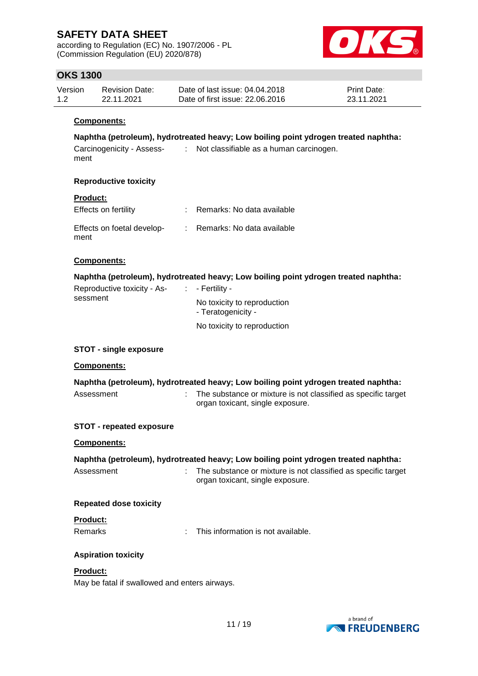according to Regulation (EC) No. 1907/2006 - PL (Commission Regulation (EU) 2020/878)



# **OKS 1300**

| Version | <b>Revision Date:</b> | Date of last issue: 04.04.2018  | <b>Print Date:</b> |
|---------|-----------------------|---------------------------------|--------------------|
| 1.2     | 22.11.2021            | Date of first issue: 22,06,2016 | 23.11.2021         |

#### **Components:**

**Naphtha (petroleum), hydrotreated heavy; Low boiling point ydrogen treated naphtha:**

| Carcinogenicity - Assess- | Not classifiable as a human carcinogen. |
|---------------------------|-----------------------------------------|
| ment                      |                                         |

#### **Reproductive toxicity**

#### **Product:**

| Effects on fertility               | Remarks: No data available |
|------------------------------------|----------------------------|
| Effects on foetal develop-<br>ment | Remarks: No data available |

#### **Components:**

**Naphtha (petroleum), hydrotreated heavy; Low boiling point ydrogen treated naphtha:**

| Reproductive toxicity - As- | $\therefore$ - Fertility -                        |
|-----------------------------|---------------------------------------------------|
| sessment                    | No toxicity to reproduction<br>- Teratogenicity - |
|                             | No toxicity to reproduction                       |

#### **STOT - single exposure**

#### **Components:**

| Naphtha (petroleum), hydrotreated heavy; Low boiling point ydrogen treated naphtha: |  |                                                               |  |  |  |
|-------------------------------------------------------------------------------------|--|---------------------------------------------------------------|--|--|--|
| Assessment                                                                          |  | The substance or mixture is not classified as specific target |  |  |  |
|                                                                                     |  | organ toxicant, single exposure.                              |  |  |  |

#### **STOT - repeated exposure**

#### **Components:**

| Naphtha (petroleum), hydrotreated heavy; Low boiling point ydrogen treated naphtha: |                                                                                                     |  |  |  |  |
|-------------------------------------------------------------------------------------|-----------------------------------------------------------------------------------------------------|--|--|--|--|
| Assessment                                                                          | : The substance or mixture is not classified as specific target<br>organ toxicant, single exposure. |  |  |  |  |
| <b>Repeated dose toxicity</b>                                                       |                                                                                                     |  |  |  |  |

# **Product:**

Remarks : This information is not available.

#### **Aspiration toxicity**

#### **Product:**

May be fatal if swallowed and enters airways.

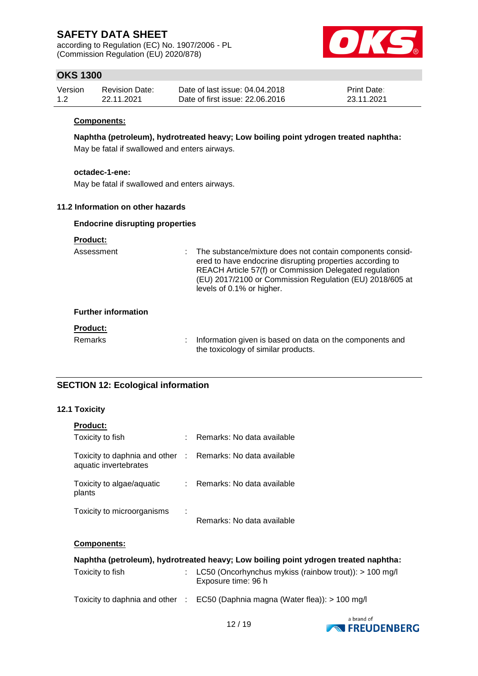according to Regulation (EC) No. 1907/2006 - PL (Commission Regulation (EU) 2020/878)



# **OKS 1300**

| Version | <b>Revision Date:</b> | Date of last issue: 04.04.2018  | <b>Print Date:</b> |
|---------|-----------------------|---------------------------------|--------------------|
| 1.2     | 22.11.2021            | Date of first issue: 22,06,2016 | 23.11.2021         |

#### **Components:**

**Naphtha (petroleum), hydrotreated heavy; Low boiling point ydrogen treated naphtha:**

May be fatal if swallowed and enters airways.

#### **octadec-1-ene:**

May be fatal if swallowed and enters airways.

#### **11.2 Information on other hazards**

#### **Endocrine disrupting properties**

#### **Product:**

Assessment : The substance/mixture does not contain components considered to have endocrine disrupting properties according to REACH Article 57(f) or Commission Delegated regulation (EU) 2017/2100 or Commission Regulation (EU) 2018/605 at levels of 0.1% or higher.

#### **Further information**

#### **Product:**

Remarks : Information given is based on data on the components and the toxicology of similar products.

## **SECTION 12: Ecological information**

#### **12.1 Toxicity**

| <b>Product:</b>                                                                     |      |                                                                                                                                                         |
|-------------------------------------------------------------------------------------|------|---------------------------------------------------------------------------------------------------------------------------------------------------------|
| Toxicity to fish                                                                    |      | : Remarks: No data available                                                                                                                            |
| Toxicity to daphnia and other : Remarks: No data available<br>aquatic invertebrates |      |                                                                                                                                                         |
| Toxicity to algae/aquatic<br>plants                                                 |      | : Remarks: No data available                                                                                                                            |
| Toxicity to microorganisms                                                          | - 11 | Remarks: No data available                                                                                                                              |
| <b>Components:</b>                                                                  |      |                                                                                                                                                         |
| Tovicity to fich                                                                    |      | Naphtha (petroleum), hydrotreated heavy; Low boiling point ydrogen treated naphtha:<br>$\sim$ 1050 (Opentypobus mykics (raipbow trout)): $\sim$ 100 mg/ |

| Toxicity to fish | : LC50 (Oncorhynchus mykiss (rainbow trout)): $> 100$ mg/l<br>Exposure time: 96 h |
|------------------|-----------------------------------------------------------------------------------|
|                  | Toxicity to daphnia and other : $EC50$ (Daphnia magna (Water flea)): $> 100$ mg/l |

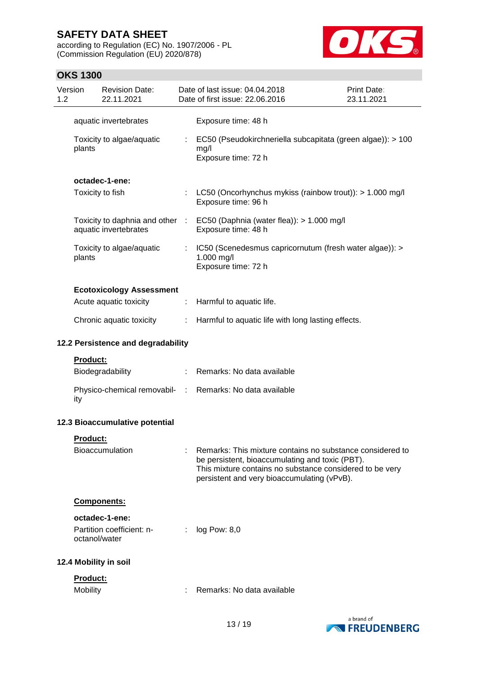according to Regulation (EC) No. 1907/2006 - PL (Commission Regulation (EU) 2020/878)



# **OKS 1300**

| 1.2 | Version                     | <b>Revision Date:</b><br>22.11.2021                    |           | Date of last issue: 04.04.2018<br>Date of first issue: 22.06.2016                                                                                                                                                       | <b>Print Date:</b><br>23.11.2021 |
|-----|-----------------------------|--------------------------------------------------------|-----------|-------------------------------------------------------------------------------------------------------------------------------------------------------------------------------------------------------------------------|----------------------------------|
|     |                             | aquatic invertebrates                                  |           | Exposure time: 48 h                                                                                                                                                                                                     |                                  |
|     | plants                      | Toxicity to algae/aquatic                              |           | EC50 (Pseudokirchneriella subcapitata (green algae)): > 100<br>mg/l<br>Exposure time: 72 h                                                                                                                              |                                  |
|     |                             | octadec-1-ene:                                         |           |                                                                                                                                                                                                                         |                                  |
|     |                             | Toxicity to fish                                       | ÷         | LC50 (Oncorhynchus mykiss (rainbow trout)): > 1.000 mg/l<br>Exposure time: 96 h                                                                                                                                         |                                  |
|     |                             | Toxicity to daphnia and other<br>aquatic invertebrates | $\sim$ 10 | EC50 (Daphnia (water flea)): > 1.000 mg/l<br>Exposure time: 48 h                                                                                                                                                        |                                  |
|     | plants                      | Toxicity to algae/aquatic                              |           | IC50 (Scenedesmus capricornutum (fresh water algae)): ><br>1.000 mg/l<br>Exposure time: 72 h                                                                                                                            |                                  |
|     |                             | <b>Ecotoxicology Assessment</b>                        |           |                                                                                                                                                                                                                         |                                  |
|     |                             | Acute aquatic toxicity                                 | ÷         | Harmful to aquatic life.                                                                                                                                                                                                |                                  |
|     |                             | Chronic aquatic toxicity                               |           | Harmful to aquatic life with long lasting effects.                                                                                                                                                                      |                                  |
|     |                             | 12.2 Persistence and degradability                     |           |                                                                                                                                                                                                                         |                                  |
|     | <b>Product:</b>             |                                                        |           |                                                                                                                                                                                                                         |                                  |
|     |                             | Biodegradability                                       | ÷         | Remarks: No data available                                                                                                                                                                                              |                                  |
|     | ity                         | Physico-chemical removabil- :                          |           | Remarks: No data available                                                                                                                                                                                              |                                  |
|     |                             | 12.3 Bioaccumulative potential                         |           |                                                                                                                                                                                                                         |                                  |
|     | <u>Product:</u>             |                                                        |           |                                                                                                                                                                                                                         |                                  |
|     |                             | <b>Bioaccumulation</b>                                 |           | Remarks: This mixture contains no substance considered to<br>be persistent, bioaccumulating and toxic (PBT).<br>This mixture contains no substance considered to be very<br>persistent and very bioaccumulating (vPvB). |                                  |
|     |                             | Components:                                            |           |                                                                                                                                                                                                                         |                                  |
|     | octanol/water               | octadec-1-ene:<br>Partition coefficient: n-            |           | log Pow: 8,0                                                                                                                                                                                                            |                                  |
|     |                             | 12.4 Mobility in soil                                  |           |                                                                                                                                                                                                                         |                                  |
|     | Product:<br><b>Mobility</b> |                                                        |           | Remarks: No data available                                                                                                                                                                                              |                                  |

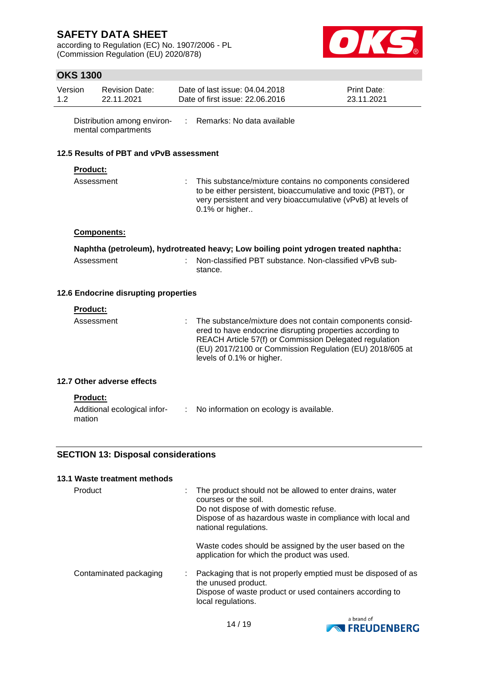according to Regulation (EC) No. 1907/2006 - PL (Commission Regulation (EU) 2020/878)



# **OKS 1300**

| Version<br>1.2 |                 | <b>Revision Date:</b><br>22.11.2021                |    | Date of last issue: 04.04.2018<br>Date of first issue: 22,06,2016                                                                                                                                                                                                         | Print Date:<br>23.11.2021 |
|----------------|-----------------|----------------------------------------------------|----|---------------------------------------------------------------------------------------------------------------------------------------------------------------------------------------------------------------------------------------------------------------------------|---------------------------|
|                |                 | Distribution among environ-<br>mental compartments | ٠  | Remarks: No data available                                                                                                                                                                                                                                                |                           |
|                |                 | 12.5 Results of PBT and vPvB assessment            |    |                                                                                                                                                                                                                                                                           |                           |
|                | <b>Product:</b> |                                                    |    |                                                                                                                                                                                                                                                                           |                           |
|                | Assessment      |                                                    |    | This substance/mixture contains no components considered<br>to be either persistent, bioaccumulative and toxic (PBT), or<br>very persistent and very bioaccumulative (vPvB) at levels of<br>0.1% or higher                                                                |                           |
|                |                 | <b>Components:</b>                                 |    |                                                                                                                                                                                                                                                                           |                           |
|                |                 |                                                    |    | Naphtha (petroleum), hydrotreated heavy; Low boiling point ydrogen treated naphtha:                                                                                                                                                                                       |                           |
|                | Assessment      |                                                    | ×, | Non-classified PBT substance. Non-classified vPvB sub-<br>stance.                                                                                                                                                                                                         |                           |
|                |                 | 12.6 Endocrine disrupting properties               |    |                                                                                                                                                                                                                                                                           |                           |
|                | <b>Product:</b> |                                                    |    |                                                                                                                                                                                                                                                                           |                           |
|                | Assessment      |                                                    |    | The substance/mixture does not contain components consid-<br>ered to have endocrine disrupting properties according to<br>REACH Article 57(f) or Commission Delegated regulation<br>(EU) 2017/2100 or Commission Regulation (EU) 2018/605 at<br>levels of 0.1% or higher. |                           |
|                |                 | 12.7 Other adverse effects                         |    |                                                                                                                                                                                                                                                                           |                           |
|                | <b>Product:</b> |                                                    |    |                                                                                                                                                                                                                                                                           |                           |
|                | mation          | Additional ecological infor-                       |    | : No information on ecology is available.                                                                                                                                                                                                                                 |                           |
|                |                 | <b>SECTION 13: Disposal considerations</b>         |    |                                                                                                                                                                                                                                                                           |                           |

# **13.1 Waste treatment methods**

| Product                | The product should not be allowed to enter drains, water<br>courses or the soil.<br>Do not dispose of with domestic refuse.<br>Dispose of as hazardous waste in compliance with local and<br>national regulations. |
|------------------------|--------------------------------------------------------------------------------------------------------------------------------------------------------------------------------------------------------------------|
|                        | Waste codes should be assigned by the user based on the<br>application for which the product was used.                                                                                                             |
| Contaminated packaging | Packaging that is not properly emptied must be disposed of as<br>the unused product.<br>Dispose of waste product or used containers according to<br>local regulations.                                             |

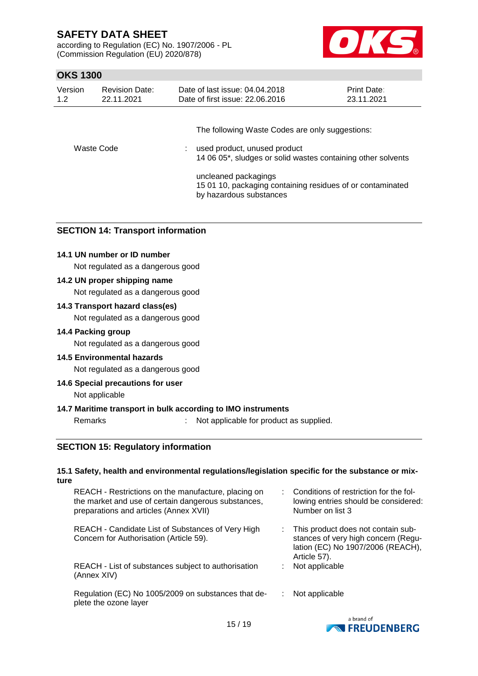according to Regulation (EC) No. 1907/2006 - PL (Commission Regulation (EU) 2020/878)



# **OKS 1300**

| Version    | <b>Revision Date:</b> | Date of last issue: 04.04.2018                                                                                                                                                                                                                                     | <b>Print Date:</b> |
|------------|-----------------------|--------------------------------------------------------------------------------------------------------------------------------------------------------------------------------------------------------------------------------------------------------------------|--------------------|
| 1.2        | 22.11.2021            | Date of first issue: 22.06.2016                                                                                                                                                                                                                                    | 23.11.2021         |
| Waste Code |                       | The following Waste Codes are only suggestions:<br>: used product, unused product<br>14 06 05*, sludges or solid wastes containing other solvents<br>uncleaned packagings<br>15 01 10, packaging containing residues of or contaminated<br>by hazardous substances |                    |

#### **SECTION 14: Transport information**

#### **14.1 UN number or ID number**

Not regulated as a dangerous good

#### **14.2 UN proper shipping name**

Not regulated as a dangerous good

#### **14.3 Transport hazard class(es)**

Not regulated as a dangerous good

#### **14.4 Packing group**

Not regulated as a dangerous good

#### **14.5 Environmental hazards**

Not regulated as a dangerous good

#### **14.6 Special precautions for user**

Not applicable

#### **14.7 Maritime transport in bulk according to IMO instruments**

Remarks : Not applicable for product as supplied.

#### **SECTION 15: Regulatory information**

#### **15.1 Safety, health and environmental regulations/legislation specific for the substance or mixture**

| REACH - Restrictions on the manufacture, placing on<br>the market and use of certain dangerous substances,<br>preparations and articles (Annex XVII) |    | : Conditions of restriction for the fol-<br>lowing entries should be considered:<br>Number on list 3                             |
|------------------------------------------------------------------------------------------------------------------------------------------------------|----|----------------------------------------------------------------------------------------------------------------------------------|
| REACH - Candidate List of Substances of Very High<br>Concern for Authorisation (Article 59).                                                         |    | : This product does not contain sub-<br>stances of very high concern (Regu-<br>lation (EC) No 1907/2006 (REACH),<br>Article 57). |
| REACH - List of substances subject to authorisation<br>(Annex XIV)                                                                                   | ÷. | Not applicable                                                                                                                   |
| Regulation (EC) No 1005/2009 on substances that de-<br>plete the ozone layer                                                                         |    | Not applicable                                                                                                                   |

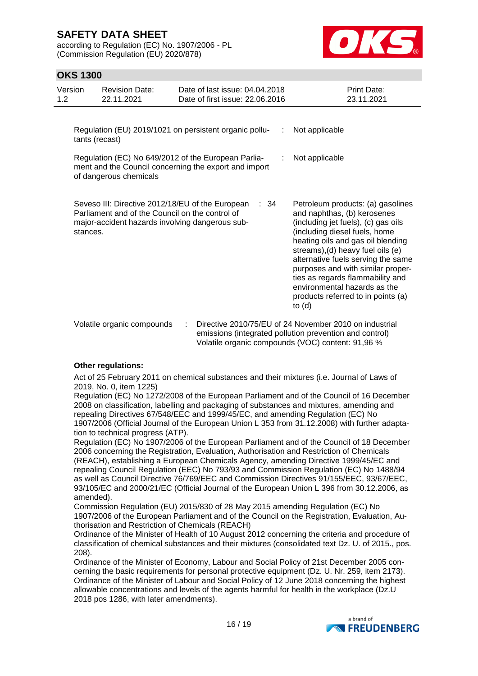according to Regulation (EC) No. 1907/2006 - PL (Commission Regulation (EU) 2020/878)



## **OKS 1300**

| Version<br>1.2 | <b>Revision Date:</b><br>22.11.2021                                                                                                                    | Date of last issue: 04.04.2018<br>Date of first issue: 22.06.2016                                                                                                                                                                                                                                                                                                                                                   | <b>Print Date:</b><br>23.11.2021                                |
|----------------|--------------------------------------------------------------------------------------------------------------------------------------------------------|---------------------------------------------------------------------------------------------------------------------------------------------------------------------------------------------------------------------------------------------------------------------------------------------------------------------------------------------------------------------------------------------------------------------|-----------------------------------------------------------------|
|                | Regulation (EU) 2019/1021 on persistent organic pollu-<br>tants (recast)                                                                               | Not applicable                                                                                                                                                                                                                                                                                                                                                                                                      |                                                                 |
|                | Regulation (EC) No 649/2012 of the European Parlia-<br>ment and the Council concerning the export and import<br>of dangerous chemicals                 | Not applicable                                                                                                                                                                                                                                                                                                                                                                                                      |                                                                 |
| stances.       | Seveso III: Directive 2012/18/EU of the European<br>Parliament and of the Council on the control of<br>major-accident hazards involving dangerous sub- | Petroleum products: (a) gasolines<br>and naphthas, (b) kerosenes<br>(including jet fuels), (c) gas oils<br>(including diesel fuels, home<br>heating oils and gas oil blending<br>streams), (d) heavy fuel oils (e)<br>alternative fuels serving the same<br>purposes and with similar proper-<br>ties as regards flammability and<br>environmental hazards as the<br>products referred to in points (a)<br>to $(d)$ |                                                                 |
|                | Volatile organic compounds                                                                                                                             |                                                                                                                                                                                                                                                                                                                                                                                                                     | $\cdot$ Directive 2010/75/ELL of 24 November 2010 on industrial |

Volatile organic compounds : Directive 2010/75/EU of 24 November 2010 on industrial emissions (integrated pollution prevention and control) Volatile organic compounds (VOC) content: 91,96 %

#### **Other regulations:**

Act of 25 February 2011 on chemical substances and their mixtures (i.e. Journal of Laws of 2019, No. 0, item 1225)

Regulation (EC) No 1272/2008 of the European Parliament and of the Council of 16 December 2008 on classification, labelling and packaging of substances and mixtures, amending and repealing Directives 67/548/EEC and 1999/45/EC, and amending Regulation (EC) No 1907/2006 (Official Journal of the European Union L 353 from 31.12.2008) with further adaptation to technical progress (ATP).

Regulation (EC) No 1907/2006 of the European Parliament and of the Council of 18 December 2006 concerning the Registration, Evaluation, Authorisation and Restriction of Chemicals (REACH), establishing a European Chemicals Agency, amending Directive 1999/45/EC and repealing Council Regulation (EEC) No 793/93 and Commission Regulation (EC) No 1488/94 as well as Council Directive 76/769/EEC and Commission Directives 91/155/EEC, 93/67/EEC, 93/105/EC and 2000/21/EC (Official Journal of the European Union L 396 from 30.12.2006, as amended).

Commission Regulation (EU) 2015/830 of 28 May 2015 amending Regulation (EC) No 1907/2006 of the European Parliament and of the Council on the Registration, Evaluation, Authorisation and Restriction of Chemicals (REACH)

Ordinance of the Minister of Health of 10 August 2012 concerning the criteria and procedure of classification of chemical substances and their mixtures (consolidated text Dz. U. of 2015., pos. 208).

Ordinance of the Minister of Economy, Labour and Social Policy of 21st December 2005 concerning the basic requirements for personal protective equipment (Dz. U. Nr. 259, item 2173). Ordinance of the Minister of Labour and Social Policy of 12 June 2018 concerning the highest allowable concentrations and levels of the agents harmful for health in the workplace (Dz.U 2018 pos 1286, with later amendments).

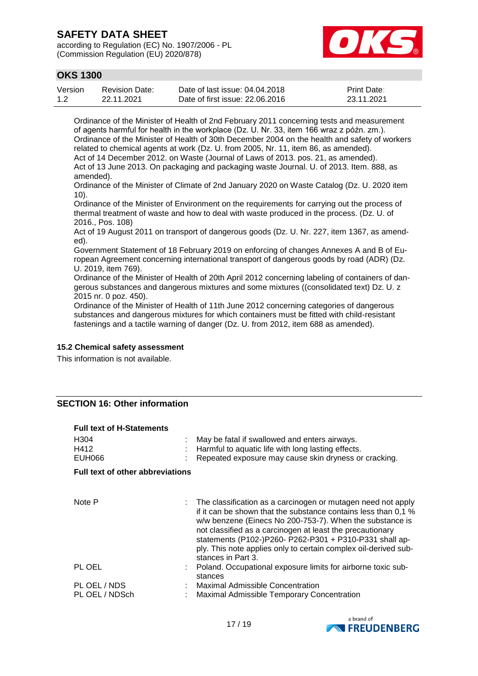according to Regulation (EC) No. 1907/2006 - PL (Commission Regulation (EU) 2020/878)



# **OKS 1300**

| Version | <b>Revision Date:</b> | Date of last issue: 04.04.2018  | <b>Print Date:</b> |
|---------|-----------------------|---------------------------------|--------------------|
| 1.2     | 22.11.2021            | Date of first issue: 22,06,2016 | 23.11.2021         |

Ordinance of the Minister of Health of 2nd February 2011 concerning tests and measurement of agents harmful for health in the workplace (Dz. U. Nr. 33, item 166 wraz z późn. zm.). Ordinance of the Minister of Health of 30th December 2004 on the health and safety of workers related to chemical agents at work (Dz. U. from 2005, Nr. 11, item 86, as amended). Act of 14 December 2012. on Waste (Journal of Laws of 2013. pos. 21, as amended). Act of 13 June 2013. On packaging and packaging waste Journal. U. of 2013. Item. 888, as amended).

Ordinance of the Minister of Climate of 2nd January 2020 on Waste Catalog (Dz. U. 2020 item 10).

Ordinance of the Minister of Environment on the requirements for carrying out the process of thermal treatment of waste and how to deal with waste produced in the process. (Dz. U. of 2016., Pos. 108)

Act of 19 August 2011 on transport of dangerous goods (Dz. U. Nr. 227, item 1367, as amended).

Government Statement of 18 February 2019 on enforcing of changes Annexes A and B of European Agreement concerning international transport of dangerous goods by road (ADR) (Dz. U. 2019, item 769).

Ordinance of the Minister of Health of 20th April 2012 concerning labeling of containers of dangerous substances and dangerous mixtures and some mixtures ((consolidated text) Dz. U. z 2015 nr. 0 poz. 450).

Ordinance of the Minister of Health of 11th June 2012 concerning categories of dangerous substances and dangerous mixtures for which containers must be fitted with child-resistant fastenings and a tactile warning of danger (Dz. U. from 2012, item 688 as amended).

#### **15.2 Chemical safety assessment**

This information is not available.

#### **SECTION 16: Other information**

| <b>Full text of H-Statements</b>        |                                                                                                                                                                                                                                                                                                                                                                                                             |
|-----------------------------------------|-------------------------------------------------------------------------------------------------------------------------------------------------------------------------------------------------------------------------------------------------------------------------------------------------------------------------------------------------------------------------------------------------------------|
| H <sub>304</sub><br>H412<br>EUH066      | May be fatal if swallowed and enters airways.<br>Harmful to aquatic life with long lasting effects.<br>Repeated exposure may cause skin dryness or cracking.                                                                                                                                                                                                                                                |
| <b>Full text of other abbreviations</b> |                                                                                                                                                                                                                                                                                                                                                                                                             |
|                                         |                                                                                                                                                                                                                                                                                                                                                                                                             |
| Note P                                  | The classification as a carcinogen or mutagen need not apply<br>if it can be shown that the substance contains less than 0.1 %<br>w/w benzene (Einecs No 200-753-7). When the substance is<br>not classified as a carcinogen at least the precautionary<br>statements (P102-)P260- P262-P301 + P310-P331 shall ap-<br>ply. This note applies only to certain complex oil-derived sub-<br>stances in Part 3. |
| PL OEL                                  | Poland. Occupational exposure limits for airborne toxic sub-<br>stances                                                                                                                                                                                                                                                                                                                                     |
| PL OEL / NDS<br>PL OEL / NDSch          | Maximal Admissible Concentration<br>Maximal Admissible Temporary Concentration                                                                                                                                                                                                                                                                                                                              |

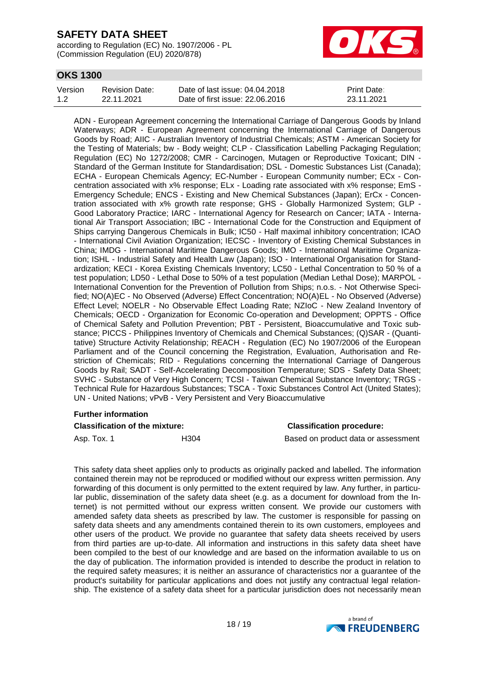according to Regulation (EC) No. 1907/2006 - PL (Commission Regulation (EU) 2020/878)



## **OKS 1300**

| Version | <b>Revision Date:</b> | Date of last issue: 04.04.2018  | <b>Print Date:</b> |
|---------|-----------------------|---------------------------------|--------------------|
| 1.2     | 22.11.2021            | Date of first issue: 22.06.2016 | 23.11.2021         |

ADN - European Agreement concerning the International Carriage of Dangerous Goods by Inland Waterways; ADR - European Agreement concerning the International Carriage of Dangerous Goods by Road; AIIC - Australian Inventory of Industrial Chemicals; ASTM - American Society for the Testing of Materials; bw - Body weight; CLP - Classification Labelling Packaging Regulation; Regulation (EC) No 1272/2008; CMR - Carcinogen, Mutagen or Reproductive Toxicant; DIN - Standard of the German Institute for Standardisation; DSL - Domestic Substances List (Canada); ECHA - European Chemicals Agency; EC-Number - European Community number; ECx - Concentration associated with x% response; ELx - Loading rate associated with x% response; EmS - Emergency Schedule; ENCS - Existing and New Chemical Substances (Japan); ErCx - Concentration associated with x% growth rate response; GHS - Globally Harmonized System; GLP - Good Laboratory Practice; IARC - International Agency for Research on Cancer; IATA - International Air Transport Association; IBC - International Code for the Construction and Equipment of Ships carrying Dangerous Chemicals in Bulk; IC50 - Half maximal inhibitory concentration; ICAO - International Civil Aviation Organization; IECSC - Inventory of Existing Chemical Substances in China; IMDG - International Maritime Dangerous Goods; IMO - International Maritime Organization; ISHL - Industrial Safety and Health Law (Japan); ISO - International Organisation for Standardization; KECI - Korea Existing Chemicals Inventory; LC50 - Lethal Concentration to 50 % of a test population; LD50 - Lethal Dose to 50% of a test population (Median Lethal Dose); MARPOL - International Convention for the Prevention of Pollution from Ships; n.o.s. - Not Otherwise Specified; NO(A)EC - No Observed (Adverse) Effect Concentration; NO(A)EL - No Observed (Adverse) Effect Level; NOELR - No Observable Effect Loading Rate; NZIoC - New Zealand Inventory of Chemicals; OECD - Organization for Economic Co-operation and Development; OPPTS - Office of Chemical Safety and Pollution Prevention; PBT - Persistent, Bioaccumulative and Toxic substance; PICCS - Philippines Inventory of Chemicals and Chemical Substances; (Q)SAR - (Quantitative) Structure Activity Relationship; REACH - Regulation (EC) No 1907/2006 of the European Parliament and of the Council concerning the Registration, Evaluation, Authorisation and Restriction of Chemicals; RID - Regulations concerning the International Carriage of Dangerous Goods by Rail; SADT - Self-Accelerating Decomposition Temperature; SDS - Safety Data Sheet; SVHC - Substance of Very High Concern; TCSI - Taiwan Chemical Substance Inventory; TRGS - Technical Rule for Hazardous Substances; TSCA - Toxic Substances Control Act (United States); UN - United Nations; vPvB - Very Persistent and Very Bioaccumulative

## **Further information**

#### **Classification of the mixture: Classification procedure:**

Asp. Tox. 1 **H304** Based on product data or assessment

This safety data sheet applies only to products as originally packed and labelled. The information contained therein may not be reproduced or modified without our express written permission. Any forwarding of this document is only permitted to the extent required by law. Any further, in particular public, dissemination of the safety data sheet (e.g. as a document for download from the Internet) is not permitted without our express written consent. We provide our customers with amended safety data sheets as prescribed by law. The customer is responsible for passing on safety data sheets and any amendments contained therein to its own customers, employees and other users of the product. We provide no guarantee that safety data sheets received by users from third parties are up-to-date. All information and instructions in this safety data sheet have been compiled to the best of our knowledge and are based on the information available to us on the day of publication. The information provided is intended to describe the product in relation to the required safety measures; it is neither an assurance of characteristics nor a guarantee of the product's suitability for particular applications and does not justify any contractual legal relationship. The existence of a safety data sheet for a particular jurisdiction does not necessarily mean